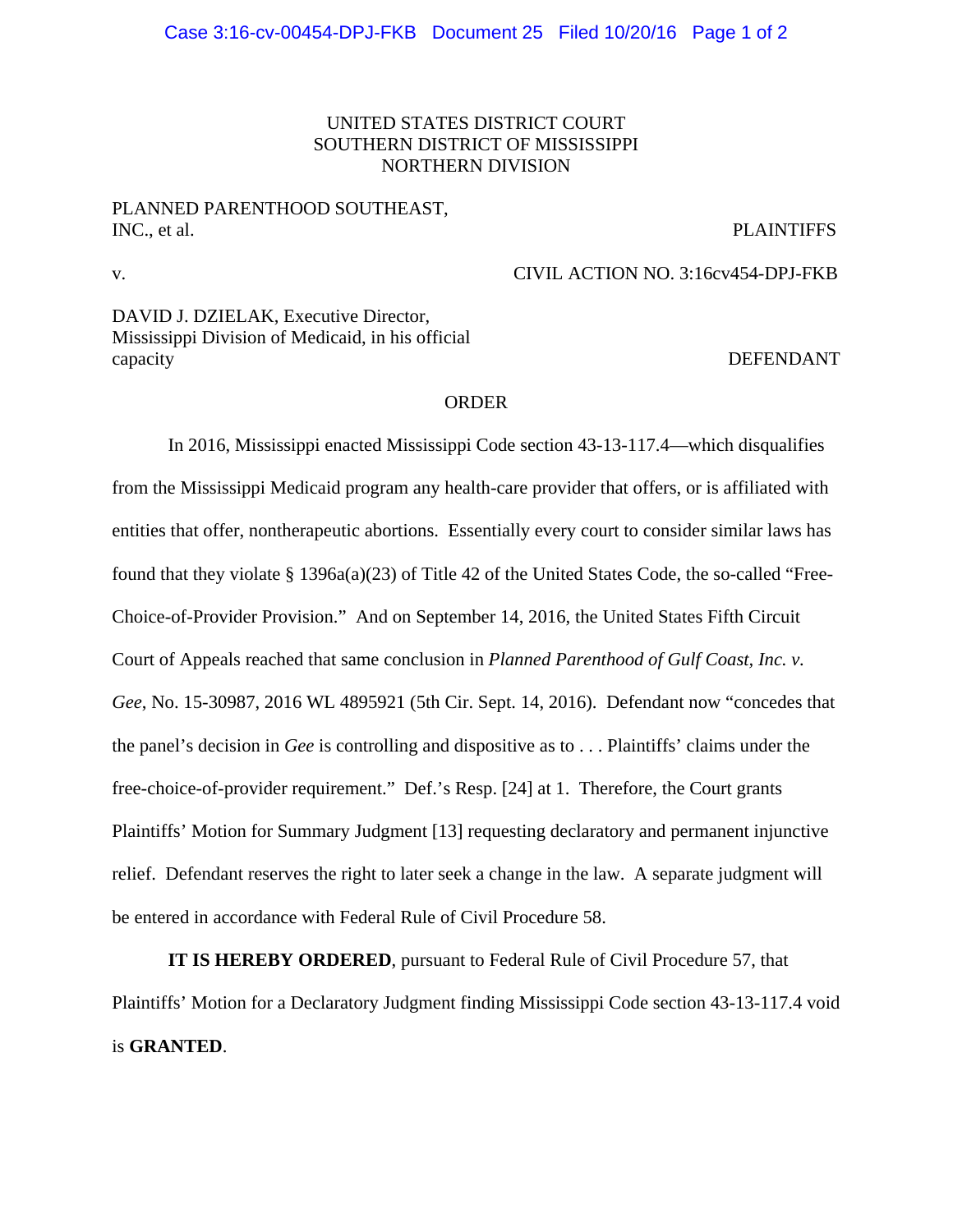## UNITED STATES DISTRICT COURT SOUTHERN DISTRICT OF MISSISSIPPI NORTHERN DIVISION

## PLANNED PARENTHOOD SOUTHEAST, INC., et al. PLAINTIFFS

v.

DAVID J. DZIELAK, Executive Director, Mississippi Division of Medicaid, in his official capacity DEFENDANT

## ORDER

In 2016, Mississippi enacted Mississippi Code section 43-13-117.4—which disqualifies from the Mississippi Medicaid program any health-care provider that offers, or is affiliated with entities that offer, nontherapeutic abortions. Essentially every court to consider similar laws has found that they violate § 1396a(a)(23) of Title 42 of the United States Code, the so-called "Free-Choice-of-Provider Provision." And on September 14, 2016, the United States Fifth Circuit Court of Appeals reached that same conclusion in *Planned Parenthood of Gulf Coast, Inc. v. Gee*, No. 15-30987, 2016 WL 4895921 (5th Cir. Sept. 14, 2016). Defendant now "concedes that the panel's decision in *Gee* is controlling and dispositive as to . . . Plaintiffs' claims under the free-choice-of-provider requirement." Def.'s Resp. [24] at 1. Therefore, the Court grants Plaintiffs' Motion for Summary Judgment [13] requesting declaratory and permanent injunctive relief. Defendant reserves the right to later seek a change in the law. A separate judgment will be entered in accordance with Federal Rule of Civil Procedure 58.

**IT IS HEREBY ORDERED**, pursuant to Federal Rule of Civil Procedure 57, that Plaintiffs' Motion for a Declaratory Judgment finding Mississippi Code section 43-13-117.4 void is **GRANTED**.